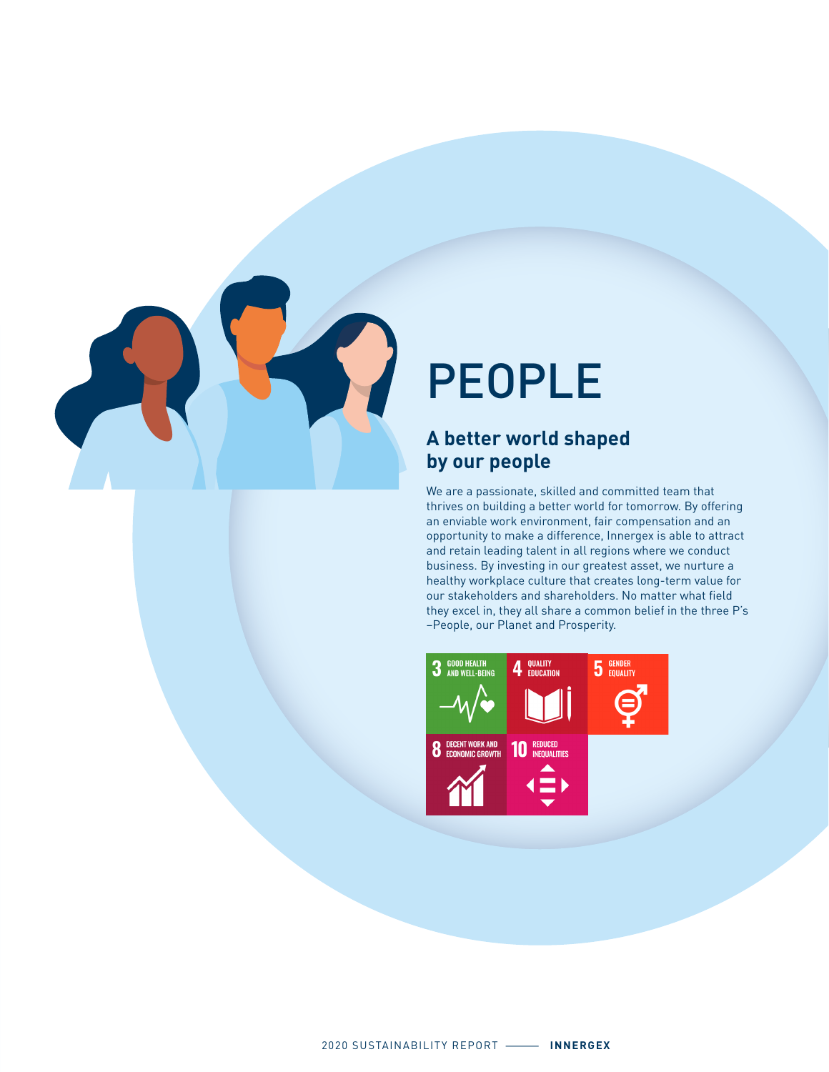

# PEOPLE

### **A better world shaped by our people**

We are a passionate, skilled and committed team that thrives on building a better world for tomorrow. By offering an enviable work environment, fair compensation and an opportunity to make a difference, Innergex is able to attract and retain leading talent in all regions where we conduct business. By investing in our greatest asset, we nurture a healthy workplace culture that creates long-term value for our stakeholders and shareholders. No matter what field they excel in, they all share a common belief in the three P's –People, our Planet and Prosperity.

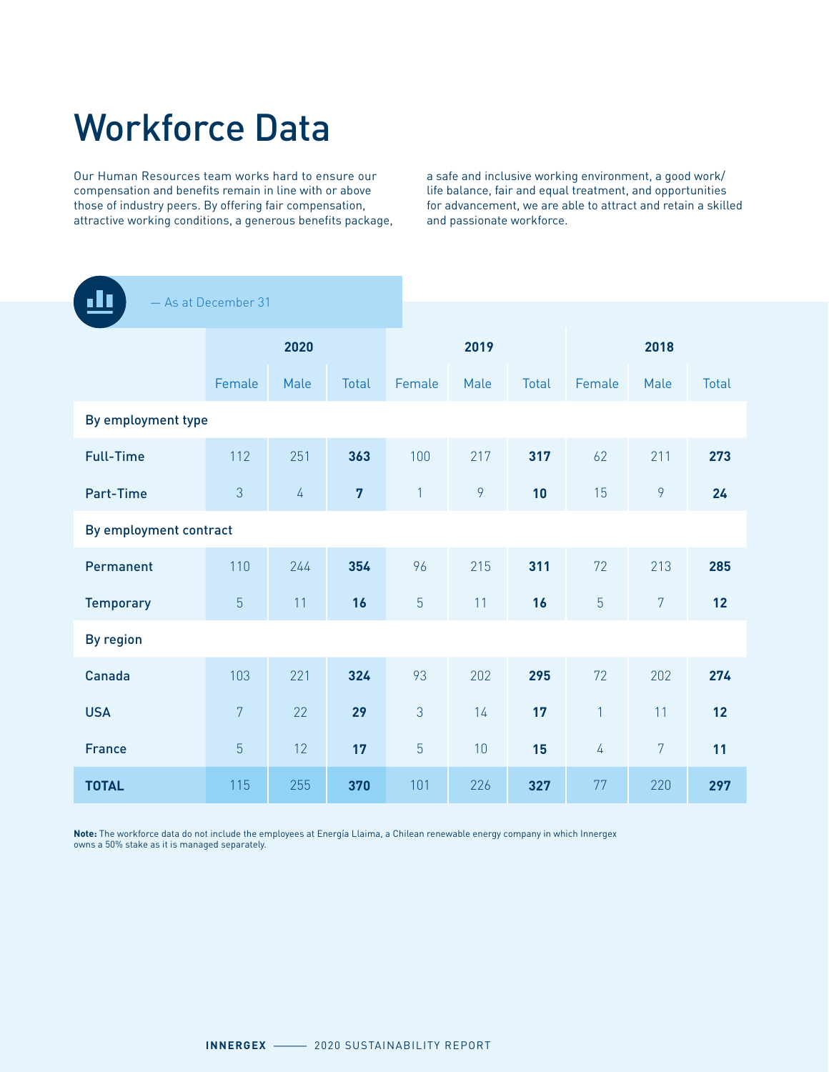# Workforce Data

Our Human Resources team works hard to ensure our compensation and benefits remain in line with or above those of industry peers. By offering fair compensation, attractive working conditions, a generous benefits package, a safe and inclusive working environment, a good work/ life balance, fair and equal treatment, and opportunities for advancement, we are able to attract and retain a skilled and passionate workforce.

|                        | - As at December 31 |            |                |                |      |       |                |                |              |
|------------------------|---------------------|------------|----------------|----------------|------|-------|----------------|----------------|--------------|
|                        |                     |            |                |                |      |       |                |                |              |
|                        |                     | 2020       |                |                | 2019 |       |                | 2018           |              |
|                        | Female              | Male       | <b>Total</b>   | Female         | Male | Total | Female         | Male           | <b>Total</b> |
| By employment type     |                     |            |                |                |      |       |                |                |              |
| <b>Full-Time</b>       | 112                 | 251        | 363            | 100            | 217  | 317   | 62             | 211            | 273          |
| Part-Time              | 3                   | $\sqrt{4}$ | $\overline{7}$ | $\mathbf{1}$   | 9    | 10    | 15             | 9              | 24           |
| By employment contract |                     |            |                |                |      |       |                |                |              |
| Permanent              | 110                 | 244        | 354            | 96             | 215  | 311   | 72             | 213            | 285          |
| <b>Temporary</b>       | $\overline{5}$      | 11         | 16             | $\overline{5}$ | 11   | 16    | 5              | $\overline{7}$ | 12           |
| <b>By region</b>       |                     |            |                |                |      |       |                |                |              |
| Canada                 | 103                 | 221        | 324            | 93             | 202  | 295   | 72             | 202            | 274          |
| <b>USA</b>             | $\overline{7}$      | 22         | 29             | 3              | 14   | 17    | $\mathbf{1}$   | 11             | 12           |
| <b>France</b>          | $\overline{5}$      | 12         | 17             | 5              | 10   | 15    | $\overline{4}$ | $\overline{7}$ | 11           |
| <b>TOTAL</b>           | 115                 | 255        | 370            | 101            | 226  | 327   | 77             | 220            | 297          |

**Note:** The workforce data do not include the employees at Energía Llaima, a Chilean renewable energy company in which Innergex owns a 50% stake as it is managed separately.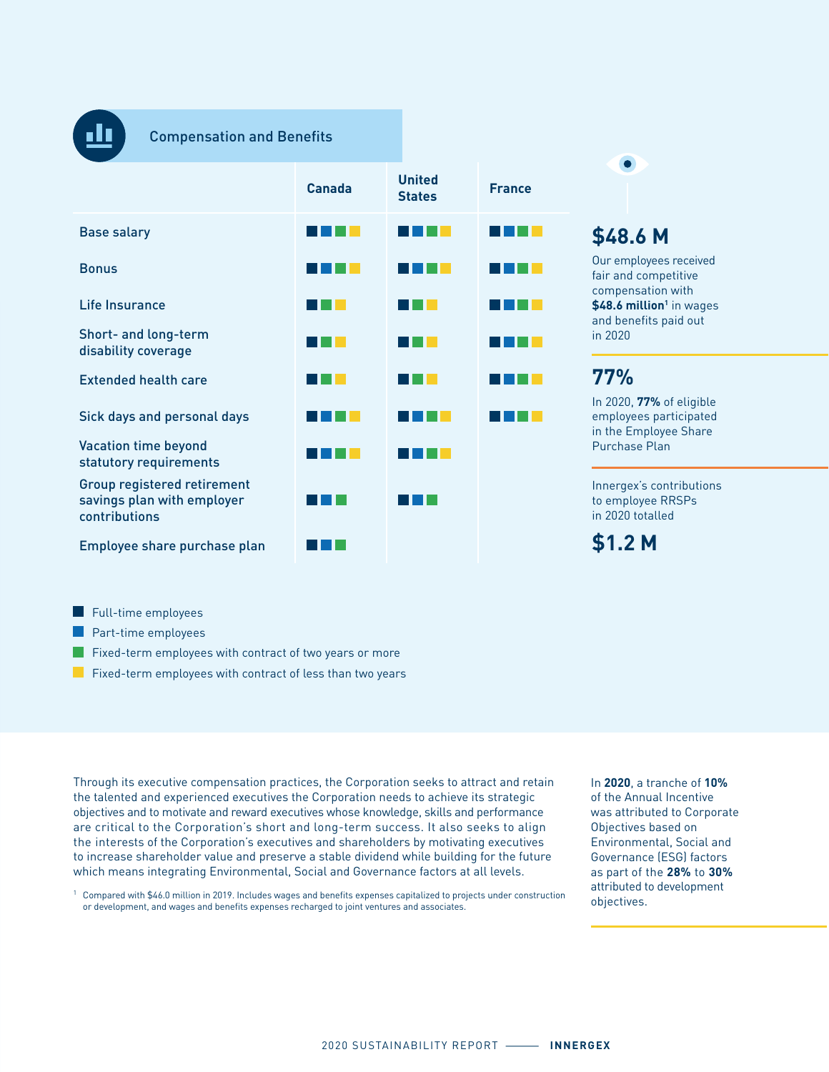

#### Compensation and Benefits

|                                                                            | Canada | <b>United</b><br><b>States</b> | <b>France</b> |
|----------------------------------------------------------------------------|--------|--------------------------------|---------------|
| <b>Base salary</b>                                                         |        |                                |               |
| <b>Bonus</b>                                                               |        |                                |               |
| Life Insurance                                                             |        |                                |               |
| Short- and long-term<br>disability coverage                                |        |                                |               |
| <b>Extended health care</b>                                                |        |                                |               |
| Sick days and personal days                                                |        |                                |               |
| <b>Vacation time beyond</b><br>statutory requirements                      |        |                                |               |
| Group registered retirement<br>savings plan with employer<br>contributions |        |                                |               |
| Employee share purchase plan                                               |        |                                |               |

**\$48.6 M**  Our employees received

fair and competitive compensation with **\$48.6 million**<sup>1</sup> in wages and benefits paid out in 2020

### **77%**

In 2020, **77%** of eligible employees participated in the Employee Share Purchase Plan

Innergex's contributions to employee RRSPs in 2020 totalled

**\$1.2 M**

- Full-time employees
- **Part-time employees**
- **Fixed-term employees with contract of two years or more**
- **Fixed-term employees with contract of less than two years**

Through its executive compensation practices, the Corporation seeks to attract and retain the talented and experienced executives the Corporation needs to achieve its strategic objectives and to motivate and reward executives whose knowledge, skills and performance are critical to the Corporation's short and long-term success. It also seeks to align the interests of the Corporation's executives and shareholders by motivating executives to increase shareholder value and preserve a stable dividend while building for the future which means integrating Environmental, Social and Governance factors at all levels.

1 Compared with \$46.0 million in 2019. Includes wages and benefits expenses capitalized to projects under construction or development, and wages and benefits expenses recharged to joint ventures and associates.

In **2020**, a tranche of **10%** of the Annual Incentive was attributed to Corporate Objectives based on Environmental, Social and Governance (ESG) factors as part of the **28%** to **30%** attributed to development objectives.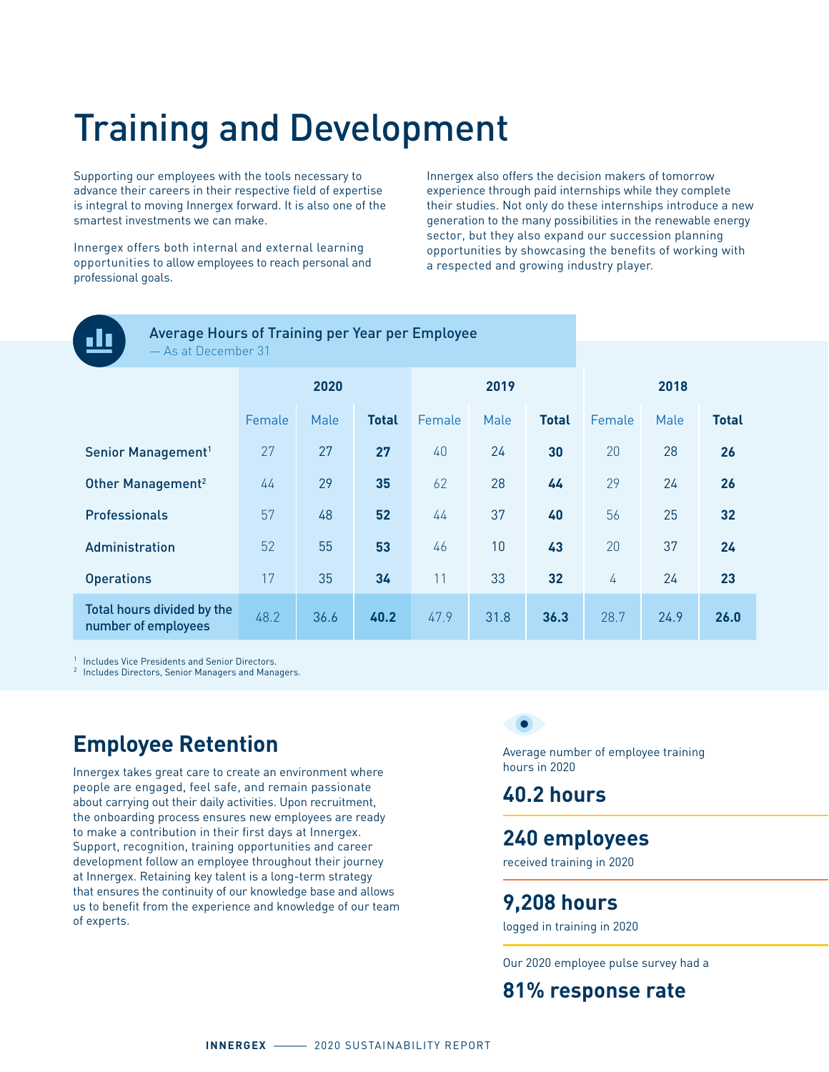# Training and Development

Supporting our employees with the tools necessary to advance their careers in their respective field of expertise is integral to moving Innergex forward. It is also one of the smartest investments we can make.

Innergex offers both internal and external learning opportunities to allow employees to reach personal and professional goals.

Innergex also offers the decision makers of tomorrow experience through paid internships while they complete their studies. Not only do these internships introduce a new generation to the many possibilities in the renewable energy sector, but they also expand our succession planning opportunities by showcasing the benefits of working with a respected and growing industry player.



Average Hours of Training per Year per Employee As at December 31

|                                                   | 2020   |      |              |        | 2019 |              | 2018   |      |              |
|---------------------------------------------------|--------|------|--------------|--------|------|--------------|--------|------|--------------|
|                                                   | Female | Male | <b>Total</b> | Female | Male | <b>Total</b> | Female | Male | <b>Total</b> |
| Senior Management <sup>1</sup>                    | 27     | 27   | 27           | 40     | 24   | 30           | 20     | 28   | 26           |
| Other Management <sup>2</sup>                     | 44     | 29   | 35           | 62     | 28   | 44           | 29     | 24   | 26           |
| Professionals                                     | 57     | 48   | 52           | 44     | 37   | 40           | 56     | 25   | 32           |
| Administration                                    | 52     | 55   | 53           | 46     | 10   | 43           | 20     | 37   | 24           |
| <b>Operations</b>                                 | 17     | 35   | 34           | 11     | 33   | 32           | 4      | 24   | 23           |
| Total hours divided by the<br>number of employees | 48.2   | 36.6 | 40.2         | 47.9   | 31.8 | 36.3         | 28.7   | 24.9 | 26.0         |

1 Includes Vice Presidents and Senior Directors.<br><sup>2</sup> Includes Directors, Senior Managers and Managers.

# **Employee Retention**

Innergex takes great care to create an environment where people are engaged, feel safe, and remain passionate about carrying out their daily activities. Upon recruitment, the onboarding process ensures new employees are ready to make a contribution in their first days at Innergex. Support, recognition, training opportunities and career development follow an employee throughout their journey at Innergex. Retaining key talent is a long-term strategy that ensures the continuity of our knowledge base and allows us to benefit from the experience and knowledge of our team of experts.

Average number of employee training hours in 2020

### **40.2 hours**

#### **240 employees**

received training in 2020

#### **9,208 hours**

logged in training in 2020

Our 2020 employee pulse survey had a

### **81% response rate**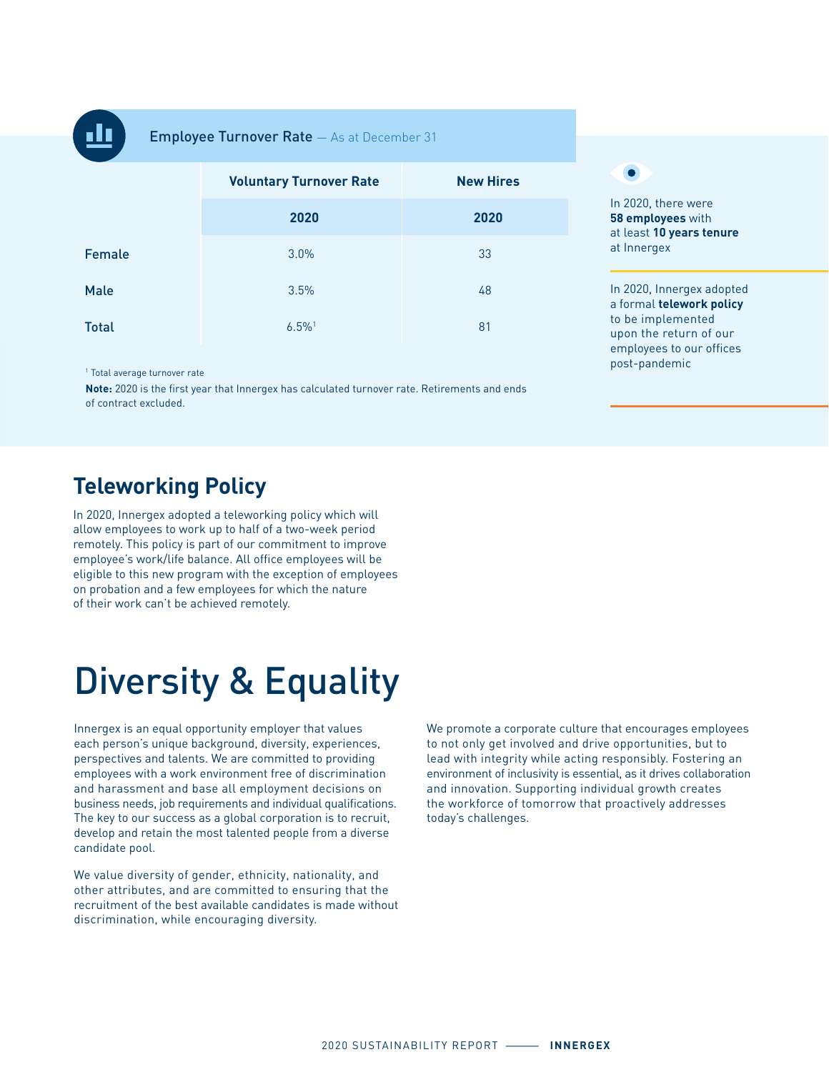

**Employee Turnover Rate** - As at December 31

|              | <b>Voluntary Turnover Rate</b> | <b>New Hires</b> |
|--------------|--------------------------------|------------------|
|              | 2020                           | 2020             |
| Female       | 3.0%                           | 33               |
| Male         | 3.5%                           | 48               |
| <b>Total</b> | $6.5\%$ <sup>1</sup>           | 81               |

1 Total average turnover rate

**Note:** 2020 is the first year that Innergex has calculated turnover rate. Retirements and ends of contract excluded.

#### $\bullet$

In 2020, there were **58 employees** with at least **10 years tenure** at Innergex

In 2020, Innergex adopted a formal **telework policy** to be implemented upon the return of our employees to our offices post-pandemic

## **Teleworking Policy**

In 2020, Innergex adopted a teleworking policy which will allow employees to work up to half of a two-week period remotely. This policy is part of our commitment to improve employee's work/life balance. All office employees will be eligible to this new program with the exception of employees on probation and a few employees for which the nature of their work can't be achieved remotely.

# Diversity & Equality

Innergex is an equal opportunity employer that values each person's unique background, diversity, experiences, perspectives and talents. We are committed to providing employees with a work environment free of discrimination and harassment and base all employment decisions on business needs, job requirements and individual qualifications. The key to our success as a global corporation is to recruit, develop and retain the most talented people from a diverse candidate pool.

We value diversity of gender, ethnicity, nationality, and other attributes, and are committed to ensuring that the recruitment of the best available candidates is made without discrimination, while encouraging diversity.

We promote a corporate culture that encourages employees to not only get involved and drive opportunities, but to lead with integrity while acting responsibly. Fostering an environment of inclusivity is essential, as it drives collaboration and innovation. Supporting individual growth creates the workforce of tomorrow that proactively addresses today's challenges.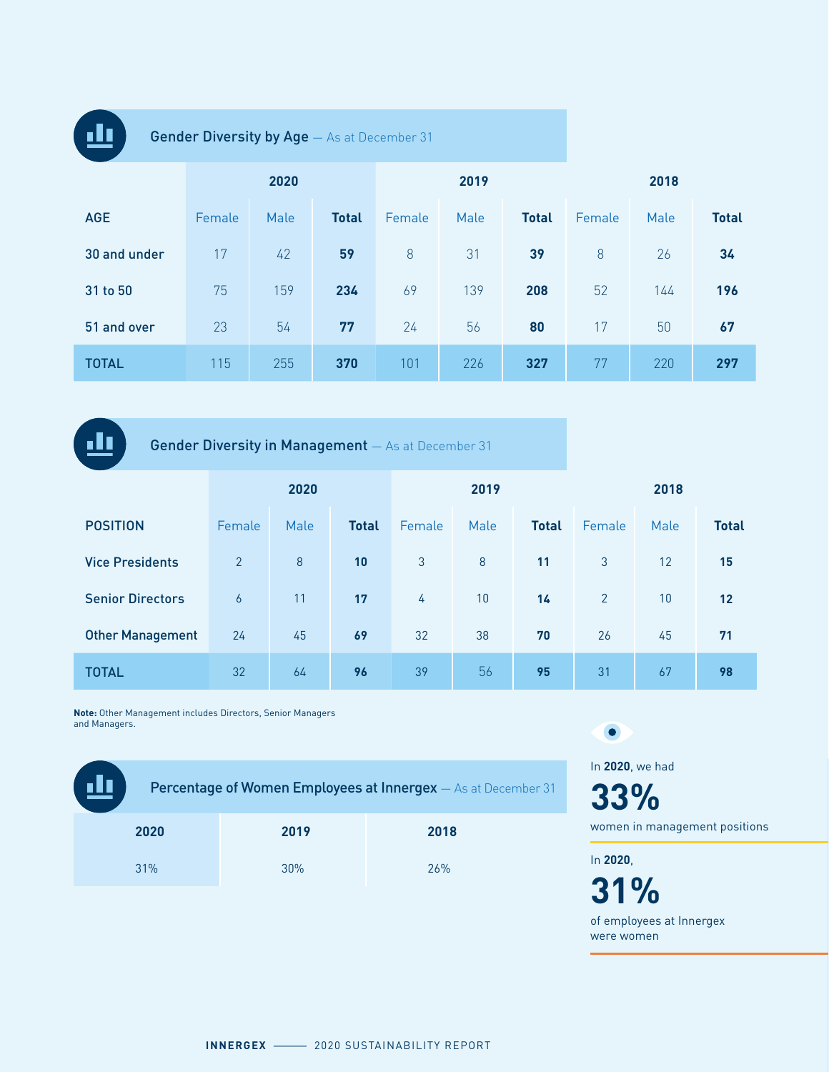| <b>Gender Diversity by Age</b> - As at December 31 |        |      |              |        |      |              |        |      |              |
|----------------------------------------------------|--------|------|--------------|--------|------|--------------|--------|------|--------------|
|                                                    | 2020   |      |              |        | 2019 |              | 2018   |      |              |
| <b>AGE</b>                                         | Female | Male | <b>Total</b> | Female | Male | <b>Total</b> | Female | Male | <b>Total</b> |
| 30 and under                                       | 17     | 42   | 59           | 8      | 31   | 39           | 8      | 26   | 34           |
| 31 to 50                                           | 75     | 159  | 234          | 69     | 139  | 208          | 52     | 144  | 196          |
| 51 and over                                        | 23     | 54   | 77           | 24     | 56   | 80           | 17     | 50   | 67           |
| <b>TOTAL</b>                                       | 115    | 255  | 370          | 101    | 226  | 327          | 77     | 220  | 297          |

dı, Gender Diversity in Management — As at December 31 **2020 2019 2018** POSITION Female Male **Total** Female Male **Total** Female Male **Total** Vice Presidents 2 8 **10** 3 8 **11** 3 12 **15** Senior Directors 6 11 **17** 4 10 **14** 2 10 **12** Other Management 24 45 **69** 32 38 **70** 26 45 **71** TOTAL 32 64 **96** 39 56 **95** 31 67 **98**

**Note:** Other Management includes Directors, Senior Managers and Managers.

| <u>ili</u> |      | <b>Percentage of Women Employees at Innergex</b> - As at December 31 |
|------------|------|----------------------------------------------------------------------|
| 2020       | 2019 | 2018                                                                 |
| 31%        | 30%  | 26%                                                                  |

In **2020**, we had **33%**

women in management positions

In **2020**,

 $\bullet$ 

**31%** of employees at Innergex

were women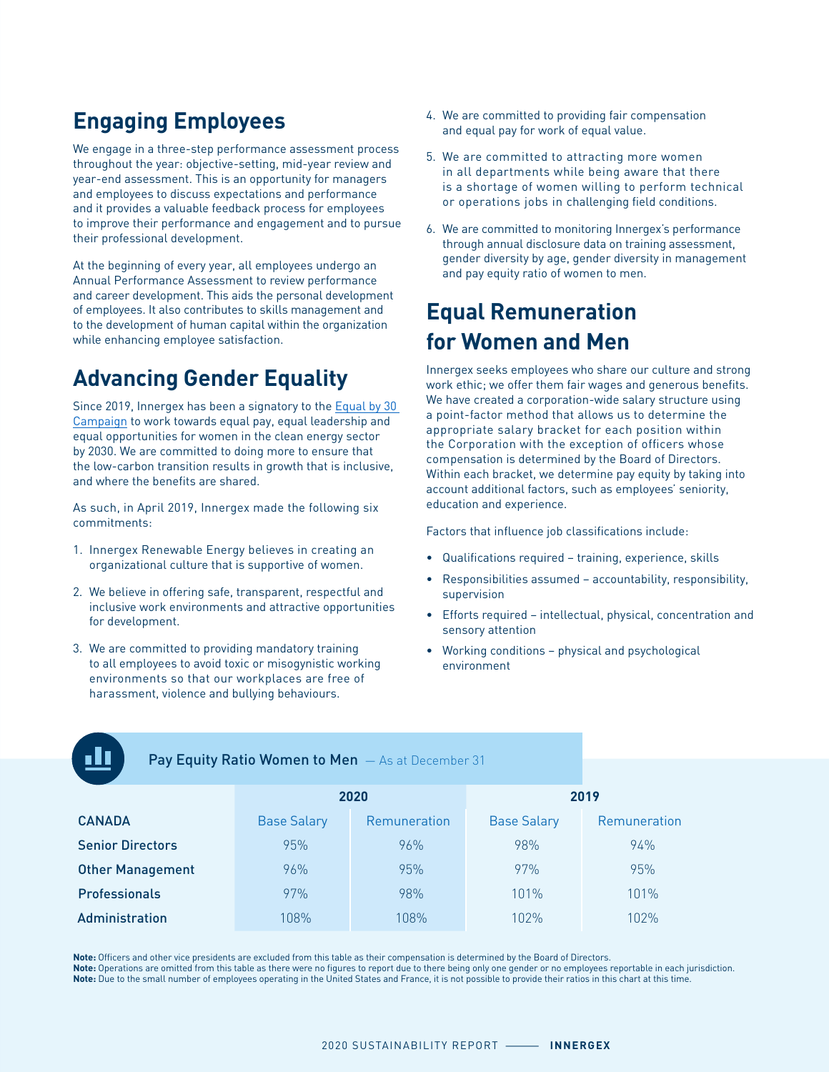# **Engaging Employees**

We engage in a three-step performance assessment process throughout the year: objective-setting, mid-year review and year-end assessment. This is an opportunity for managers and employees to discuss expectations and performance and it provides a valuable feedback process for employees to improve their performance and engagement and to pursue their professional development.

At the beginning of every year, all employees undergo an Annual Performance Assessment to review performance and career development. This aids the personal development of employees. It also contributes to skills management and to the development of human capital within the organization while enhancing employee satisfaction.

# **Advancing Gender Equality**

Since 2019, Innergex has been a signatory to the [Equal by 30](https://www.equalby30.org/en/content/innergex)  [Campaign](https://www.equalby30.org/en/content/innergex) to work towards equal pay, equal leadership and equal opportunities for women in the clean energy sector by 2030. We are committed to doing more to ensure that the low-carbon transition results in growth that is inclusive, and where the benefits are shared.

As such, in April 2019, Innergex made the following six commitments:

- 1. Innergex Renewable Energy believes in creating an organizational culture that is supportive of women.
- 2. We believe in offering safe, transparent, respectful and inclusive work environments and attractive opportunities for development.
- 3. We are committed to providing mandatory training to all employees to avoid toxic or misogynistic working environments so that our workplaces are free of harassment, violence and bullying behaviours.
- 4. We are committed to providing fair compensation and equal pay for work of equal value.
- 5. We are committed to attracting more women in all departments while being aware that there is a shortage of women willing to perform technical or operations jobs in challenging field conditions.
- 6. We are committed to monitoring Innergex's performance through annual disclosure data on training assessment, gender diversity by age, gender diversity in management and pay equity ratio of women to men.

# **Equal Remuneration for Women and Men**

Innergex seeks employees who share our culture and strong work ethic; we offer them fair wages and generous benefits. We have created a corporation-wide salary structure using a point-factor method that allows us to determine the appropriate salary bracket for each position within the Corporation with the exception of officers whose compensation is determined by the Board of Directors. Within each bracket, we determine pay equity by taking into account additional factors, such as employees' seniority, education and experience.

Factors that influence job classifications include:

- Qualifications required training, experience, skills
- Responsibilities assumed accountability, responsibility, supervision
- Efforts required intellectual, physical, concentration and sensory attention
- Working conditions physical and psychological environment

| $\mathcal{L}^{\text{max}}_{\text{max}}$ and $\mathcal{L}^{\text{max}}_{\text{max}}$ and $\mathcal{L}^{\text{max}}_{\text{max}}$ and $\mathcal{L}^{\text{max}}_{\text{max}}$ |  |
|-----------------------------------------------------------------------------------------------------------------------------------------------------------------------------|--|

#### Pay Equity Ratio Women to Men  $-$  As at December 31

|                         |                    | 2020         | 2019               |              |  |  |
|-------------------------|--------------------|--------------|--------------------|--------------|--|--|
| <b>CANADA</b>           | <b>Base Salary</b> | Remuneration | <b>Base Salary</b> | Remuneration |  |  |
| <b>Senior Directors</b> | 95%                | 96%          | 98%                | 94%          |  |  |
| <b>Other Management</b> | 96%                | 95%          | 97%                | 95%          |  |  |
| <b>Professionals</b>    | 97%                | 98%          | 101%               | 101%         |  |  |
| Administration          | 108%               | 108%         | 1በ2%               | 1በ2%         |  |  |

**Note:** Officers and other vice presidents are excluded from this table as their compensation is determined by the Board of Directors.

**Note:** Operations are omitted from this table as there were no figures to report due to there being only one gender or no employees reportable in each jurisdiction. **Note:** Due to the small number of employees operating in the United States and France, it is not possible to provide their ratios in this chart at this time.